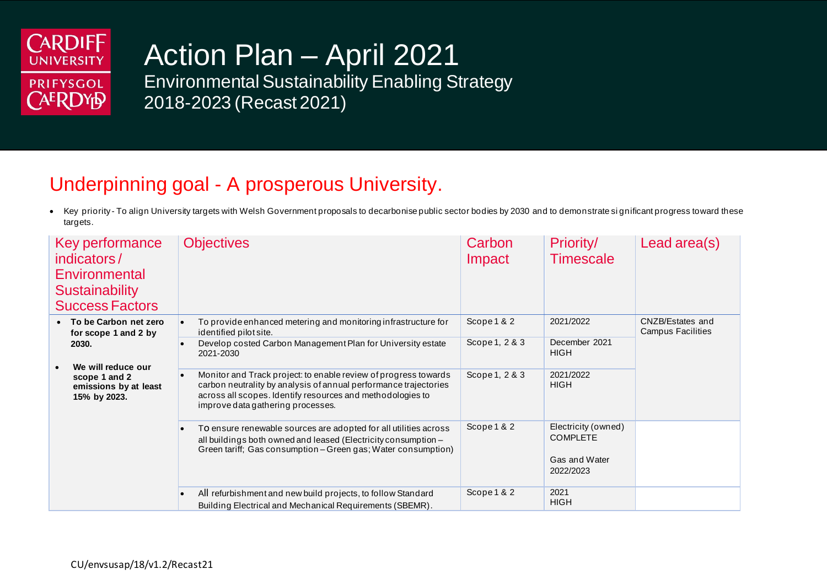

# Action Plan – April 2021

Environmental Sustainability Enabling Strategy 2018-2023 (Recast 2021)

### Underpinning goal - A prosperous University.

• Key priority - To align University targets with Welsh Government proposals to decarbonise public sector bodies by 2030 and to demonstrate si gnificant progress toward these targets.

| Key performance<br>indicators/<br>Environmental<br><b>Sustainability</b><br><b>Success Factors</b> | <b>Objectives</b>                                                                                                                                                                                                                                   | Carbon<br>Impact | Priority/<br><b>Timescale</b>                                        | Lead area(s)                          |
|----------------------------------------------------------------------------------------------------|-----------------------------------------------------------------------------------------------------------------------------------------------------------------------------------------------------------------------------------------------------|------------------|----------------------------------------------------------------------|---------------------------------------|
| • To be Carbon net zero<br>for scope 1 and 2 by                                                    | To provide enhanced metering and monitoring infrastructure for<br>$\bullet$<br>identified pilot site.                                                                                                                                               | Scope 1 & 2      | 2021/2022                                                            | CNZB/Estates and<br>Campus Facilities |
| 2030.                                                                                              | Develop costed Carbon Management Plan for University estate<br>$\bullet$<br>2021-2030                                                                                                                                                               | Scope 1, 2 & 3   | December 2021<br><b>HIGH</b>                                         |                                       |
| We will reduce our<br>scope 1 and 2<br>emissions by at least<br>15% by 2023.                       | Monitor and Track project: to enable review of progress towards<br>$\bullet$<br>carbon neutrality by analysis of annual performance trajectories<br>across all scopes. Identify resources and methodologies to<br>improve data gathering processes. | Scope 1, 2 & 3   | 2021/2022<br><b>HIGH</b>                                             |                                       |
|                                                                                                    | To ensure renewable sources are adopted for all utilities across<br>$\bullet$<br>all buildings both owned and leased (Electricity consumption -<br>Green tariff; Gas consumption - Green gas; Water consumption)                                    | Scope 1 & 2      | Electricity (owned)<br><b>COMPLETE</b><br>Gas and Water<br>2022/2023 |                                       |
|                                                                                                    | All refurbishment and new build projects, to follow Standard<br>$\bullet$<br>Building Electrical and Mechanical Requirements (SBEMR).                                                                                                               | Scope 1 & 2      | 2021<br><b>HIGH</b>                                                  |                                       |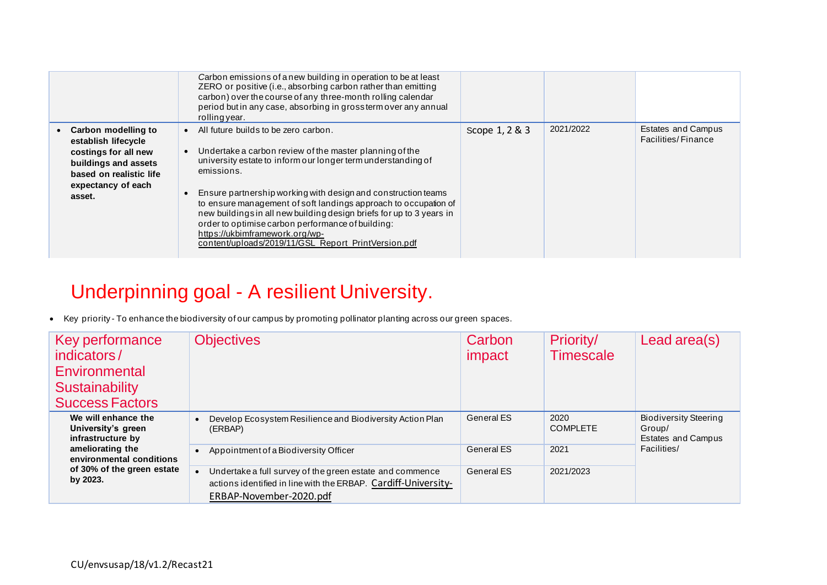|                                                                                                                                                       | Carbon emissions of a new building in operation to be at least<br>ZERO or positive (i.e., absorbing carbon rather than emitting<br>carbon) over the course of any three-month rolling calendar<br>period but in any case, absorbing in gross term over any annual<br>rolling year.                                                                                                                                                                                                                                                        |                |           |                                          |
|-------------------------------------------------------------------------------------------------------------------------------------------------------|-------------------------------------------------------------------------------------------------------------------------------------------------------------------------------------------------------------------------------------------------------------------------------------------------------------------------------------------------------------------------------------------------------------------------------------------------------------------------------------------------------------------------------------------|----------------|-----------|------------------------------------------|
| Carbon modelling to<br>establish lifecycle<br>costings for all new<br>buildings and assets<br>based on realistic life<br>expectancy of each<br>asset. | • All future builds to be zero carbon.<br>Undertake a carbon review of the master planning of the<br>university estate to inform our longer term understanding of<br>emissions.<br>Ensure partnership working with design and construction teams<br>to ensure management of soft landings approach to occupation of<br>new buildings in all new building design briefs for up to 3 years in<br>order to optimise carbon performance of building:<br>https://ukbimframework.org/wp-<br>content/uploads/2019/11/GSL_Report_PrintVersion.pdf | Scope 1, 2 & 3 | 2021/2022 | Estates and Campus<br>Facilities/Finance |

## Underpinning goal - A resilient University.

• Key priority - To enhance the biodiversity of our campus by promoting pollinator planting across our green spaces.

| Key performance<br>indicators/<br>Environmental<br>Sustainability<br><b>Success Factors</b> | <b>Objectives</b>                                                                                                                                     | Carbon<br>impact  | Priority/<br><b>Timescale</b> | Lead area(s)                                                 |
|---------------------------------------------------------------------------------------------|-------------------------------------------------------------------------------------------------------------------------------------------------------|-------------------|-------------------------------|--------------------------------------------------------------|
| We will enhance the<br>University's green<br>infrastructure by                              | Develop Ecosystem Resilience and Biodiversity Action Plan<br>(ERBAP)                                                                                  | <b>General ES</b> | 2020<br><b>COMPLETE</b>       | <b>Biodiversity Steering</b><br>Group/<br>Estates and Campus |
| ameliorating the<br>environmental conditions                                                | Appointment of a Biodiversity Officer                                                                                                                 | General ES        | 2021                          | Facilities/                                                  |
| of 30% of the green estate<br>by 2023.                                                      | Undertake a full survey of the green estate and commence<br>actions identified in line with the ERBAP. Cardiff-University-<br>ERBAP-November-2020.pdf | <b>General ES</b> | 2021/2023                     |                                                              |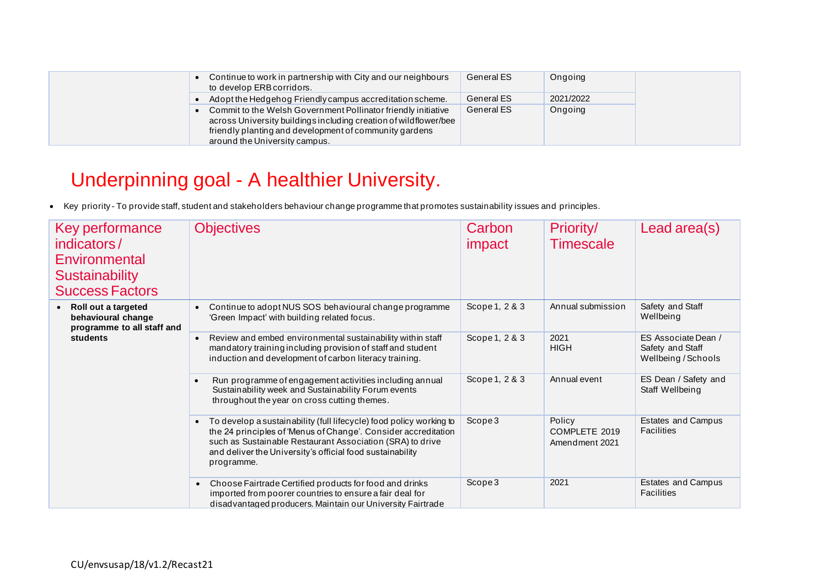### Underpinning goal - A healthier University.

• Key priority - To provide staff, student and stakeholders behaviour change programme that promotes sustainability issues and principles.

| Key performance<br>indicators/<br>Environmental<br><b>Sustainability</b><br><b>Success Factors</b> | <b>Objectives</b>                                                                                                                                                                                                                                                                          | Carbon<br>impact | Priority/<br><b>Timescale</b>             | Lead area(s)                                                   |
|----------------------------------------------------------------------------------------------------|--------------------------------------------------------------------------------------------------------------------------------------------------------------------------------------------------------------------------------------------------------------------------------------------|------------------|-------------------------------------------|----------------------------------------------------------------|
| Roll out a targeted<br>behavioural change<br>programme to all staff and                            | Continue to adopt NUS SOS behavioural change programme<br>'Green Impact' with building related focus.                                                                                                                                                                                      | Scope 1, 2 & 3   | Annual submission                         | Safety and Staff<br>Wellbeing                                  |
| students                                                                                           | Review and embed environmental sustainability within staff<br>mandatory training including provision of staff and student<br>induction and development of carbon literacy training.                                                                                                        | Scope 1, 2 & 3   | 2021<br><b>HIGH</b>                       | ES Associate Dean /<br>Safety and Staff<br>Wellbeing / Schools |
|                                                                                                    | Run programme of engagement activities including annual<br>Sustainability week and Sustainability Forum events<br>throughout the year on cross cutting themes.                                                                                                                             | Scope 1, 2 & 3   | Annual event                              | ES Dean / Safety and<br>Staff Wellbeing                        |
|                                                                                                    | To develop a sustainability (full lifecycle) food policy working to<br>$\bullet$<br>the 24 principles of 'Menus of Change'. Consider accreditation<br>such as Sustainable Restaurant Association (SRA) to drive<br>and deliver the University's official food sustainability<br>programme. | Scope 3          | Policy<br>COMPLETE 2019<br>Amendment 2021 | <b>Estates and Campus</b><br>Facilities                        |
|                                                                                                    | Choose Fairtrade Certified products for food and drinks<br>$\bullet$<br>imported from poorer countries to ensure a fair deal for<br>disadvantaged producers. Maintain our University Fairtrade                                                                                             | Scope 3          | 2021                                      | <b>Estates and Campus</b><br><b>Facilities</b>                 |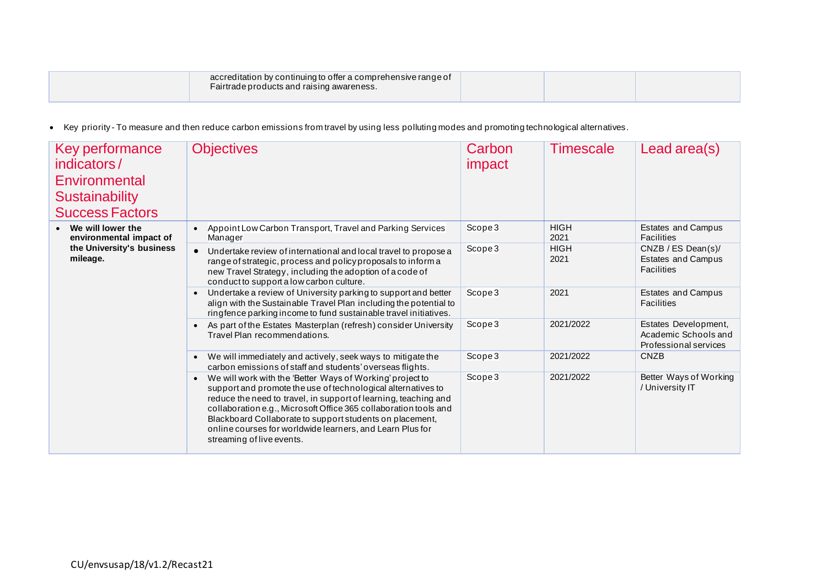| accreditation by continuing to offer a comprehensive range of<br>Fairtrade products and raising awareness. |  |  |
|------------------------------------------------------------------------------------------------------------|--|--|
|                                                                                                            |  |  |

• Key priority - To measure and then reduce carbon emissions from travel by using less polluting modes and promoting technological alternatives.

| Key performance<br>indicators/<br>Environmental<br><b>Sustainability</b><br><b>Success Factors</b> | <b>Objectives</b>                                                                                                                                                                                                                                                                                                                                                                                                      | Carbon<br>impact | <b>Timescale</b>    | Lead area(s)                                                          |
|----------------------------------------------------------------------------------------------------|------------------------------------------------------------------------------------------------------------------------------------------------------------------------------------------------------------------------------------------------------------------------------------------------------------------------------------------------------------------------------------------------------------------------|------------------|---------------------|-----------------------------------------------------------------------|
| • We will lower the<br>environmental impact of                                                     | Appoint Low Carbon Transport, Travel and Parking Services<br>Manager                                                                                                                                                                                                                                                                                                                                                   | Scope 3          | <b>HIGH</b><br>2021 | <b>Estates and Campus</b><br>Facilities                               |
| the University's business<br>mileage.                                                              | Undertake review of international and local travel to propose a<br>range of strategic, process and policy proposals to inform a<br>new Travel Strategy, including the adoption of a code of<br>conduct to support a low carbon culture.                                                                                                                                                                                | Scope 3          | <b>HIGH</b><br>2021 | CNZB / ES Dean(s) /<br><b>Estates and Campus</b><br><b>Facilities</b> |
|                                                                                                    | Undertake a review of University parking to support and better<br>align with the Sustainable Travel Plan including the potential to<br>ringfence parking income to fund sustainable travel initiatives.                                                                                                                                                                                                                | Scope 3          | 2021                | <b>Estates and Campus</b><br><b>Facilities</b>                        |
|                                                                                                    | As part of the Estates Masterplan (refresh) consider University<br>Travel Plan recommendations.                                                                                                                                                                                                                                                                                                                        | Scope 3          | 2021/2022           | Estates Development,<br>Academic Schools and<br>Professional services |
|                                                                                                    | We will immediately and actively, seek ways to mitigate the<br>carbon emissions of staff and students' overseas flights.                                                                                                                                                                                                                                                                                               | Scope 3          | 2021/2022           | <b>CNZB</b>                                                           |
|                                                                                                    | We will work with the 'Better Ways of Working' project to<br>support and promote the use of technological alternatives to<br>reduce the need to travel, in support of learning, teaching and<br>collaboration e.g., Microsoft Office 365 collaboration tools and<br>Blackboard Collaborate to support students on placement,<br>online courses for worldwide learners, and Learn Plus for<br>streaming of live events. | Scope 3          | 2021/2022           | Better Ways of Working<br>/ University IT                             |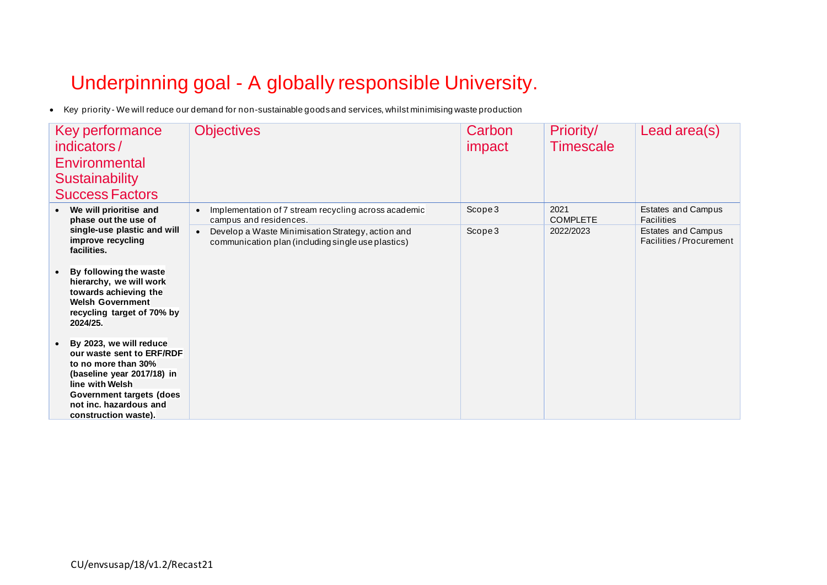## Underpinning goal - A globally responsible University.

• Key priority - We will reduce our demand for non-sustainable goods and services, whilst minimising waste production

| Key performance<br>indicators/<br>Environmental<br><b>Sustainability</b><br><b>Success Factors</b>                                                                                                                | <b>Objectives</b>                                                                                                    | Carbon<br>impact | Priority/<br><b>Timescale</b> | Lead area(s)                                          |
|-------------------------------------------------------------------------------------------------------------------------------------------------------------------------------------------------------------------|----------------------------------------------------------------------------------------------------------------------|------------------|-------------------------------|-------------------------------------------------------|
| We will prioritise and<br>phase out the use of                                                                                                                                                                    | Implementation of 7 stream recycling across academic<br>campus and residences.                                       | Scope 3          | 2021<br><b>COMPLETE</b>       | Estates and Campus<br>Facilities                      |
| single-use plastic and will<br>improve recycling<br>facilities.<br>By following the waste<br>hierarchy, we will work<br>towards achieving the<br><b>Welsh Government</b><br>recycling target of 70% by            | Develop a Waste Minimisation Strategy, action and<br>$\bullet$<br>communication plan (including single use plastics) | Scope3           | 2022/2023                     | <b>Estates and Campus</b><br>Facilities / Procurement |
| 2024/25.                                                                                                                                                                                                          |                                                                                                                      |                  |                               |                                                       |
| By 2023, we will reduce<br>our waste sent to ERF/RDF<br>to no more than 30%<br>(baseline year 2017/18) in<br>line with Welsh<br><b>Government targets (does</b><br>not inc. hazardous and<br>construction waste). |                                                                                                                      |                  |                               |                                                       |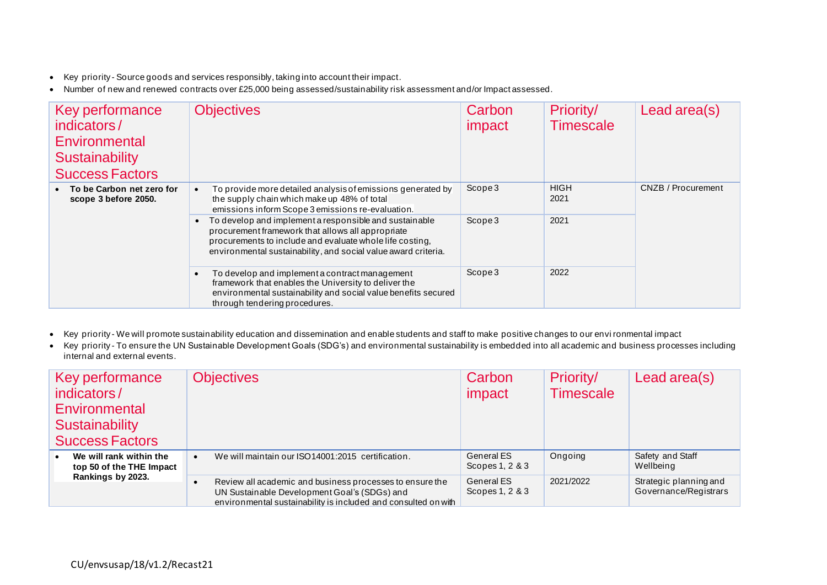- Key priority Source goods and services responsibly, taking into account their impact.
- Number of new and renewed contracts over £25,000 being assessed/sustainability risk assessment and/or Impact assessed.

| Key performance<br>indicators/<br>Environmental<br><b>Sustainability</b><br><b>Success Factors</b> | <b>Objectives</b>                                                                                                                                                                                                                                                                                                                                                                                                                                      | Carbon<br>impact | Priority/<br><b>Timescale</b> | Lead area(s)       |
|----------------------------------------------------------------------------------------------------|--------------------------------------------------------------------------------------------------------------------------------------------------------------------------------------------------------------------------------------------------------------------------------------------------------------------------------------------------------------------------------------------------------------------------------------------------------|------------------|-------------------------------|--------------------|
| • To be Carbon net zero for<br>scope 3 before 2050.                                                | To provide more detailed analysis of emissions generated by<br>the supply chain which make up 48% of total<br>emissions inform Scope 3 emissions re-evaluation.                                                                                                                                                                                                                                                                                        | Scope 3          | <b>HIGH</b><br>2021           | CNZB / Procurement |
|                                                                                                    | To develop and implement a responsible and sustainable<br>procurement framework that allows all appropriate<br>procurements to include and evaluate whole life costing.<br>environmental sustainability, and social value award criteria.<br>To develop and implement a contract management<br>framework that enables the University to deliver the<br>environmental sustainability and social value benefits secured<br>through tendering procedures. | Scope 3          | 2021                          |                    |
|                                                                                                    |                                                                                                                                                                                                                                                                                                                                                                                                                                                        | Scope 3          | 2022                          |                    |

- Key priority We will promote sustainability education and dissemination and enable students and staff to make positive changes to our envi ronmental impact
- Key priority To ensure the UN Sustainable Development Goals (SDG's) and environmental sustainability is embedded into all academic and business processes including internal and external events.

| Key performance<br>indicators/<br>Environmental<br><b>Sustainability</b><br><b>Success Factors</b> | <b>Objectives</b>                                                                                                                                                          | Carbon<br>impact              | Priority/<br><b>Timescale</b> | Lead area(s)                                    |
|----------------------------------------------------------------------------------------------------|----------------------------------------------------------------------------------------------------------------------------------------------------------------------------|-------------------------------|-------------------------------|-------------------------------------------------|
| We will rank within the<br>top 50 of the THE Impact                                                | We will maintain our ISO14001:2015 certification.                                                                                                                          | General ES<br>Scopes 1, 2 & 3 | Ongoing                       | Safety and Staff<br>Wellbeing                   |
| Rankings by 2023.                                                                                  | Review all academic and business processes to ensure the<br>UN Sustainable Development Goal's (SDGs) and<br>environmental sustainability is included and consulted on with | General ES<br>Scopes 1, 2 & 3 | 2021/2022                     | Strategic planning and<br>Governance/Registrars |